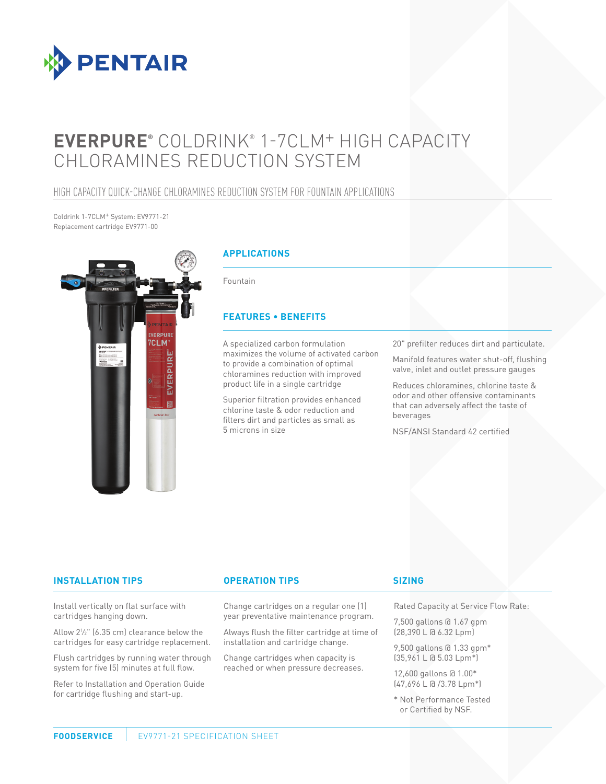

# **EVERPURE®** COLDRINK® 1-7CLM+ HIGH CAPACITY CHLORAMINES REDUCTION SYSTEM

# HIGH CAPACITY QUICK-CHANGE CHLORAMINES REDUCTION SYSTEM FOR FOUNTAIN APPLICATIONS

Coldrink 1-7CLM+ System: EV9771-21 Replacement cartridge EV9771-00



# **APPLICATIONS**

Fountain

# **FEATURES • BENEFITS**

A specialized carbon formulation maximizes the volume of activated carbon to provide a combination of optimal chloramines reduction with improved product life in a single cartridge

Superior filtration provides enhanced chlorine taste & odor reduction and filters dirt and particles as small as 5 microns in size

20" prefilter reduces dirt and particulate.

Manifold features water shut-off, flushing valve, inlet and outlet pressure gauges

Reduces chloramines, chlorine taste & odor and other offensive contaminants that can adversely affect the taste of beverages

NSF/ANSI Standard 42 certified

### **INSTALLATION TIPS OPERATION TIPS**

Install vertically on flat surface with cartridges hanging down.

Allow 21 ⁄2" (6.35 cm) clearance below the cartridges for easy cartridge replacement.

Flush cartridges by running water through system for five (5) minutes at full flow.

Refer to Installation and Operation Guide for cartridge flushing and start-up.

Change cartridges on a regular one (1) year preventative maintenance program.

Always flush the filter cartridge at time of installation and cartridge change.

Change cartridges when capacity is reached or when pressure decreases.

### **SIZING**

Rated Capacity at Service Flow Rate:

7,500 gallons @ 1.67 gpm (28,390 L @ 6.32 Lpm)

9,500 gallons @ 1.33 gpm\* (35,961 L @ 5.03 Lpm\*)

12,600 gallons @ 1.00\* (47,696 L @ /3.78 Lpm\*)

\* Not Performance Tested or Certified by NSF.